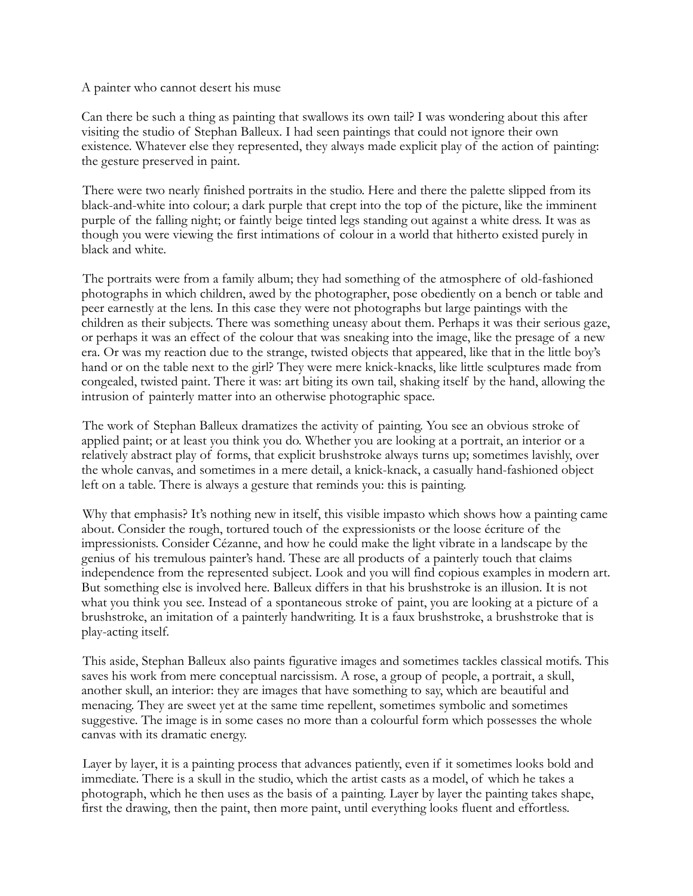## A painter who cannot desert his muse

Can there be such a thing as painting that swallows its own tail? I was wondering about this after visiting the studio of Stephan Balleux. I had seen paintings that could not ignore their own existence. Whatever else they represented, they always made explicit play of the action of painting: the gesture preserved in paint.

 There were two nearly finished portraits in the studio. Here and there the palette slipped from its black-and-white into colour; a dark purple that crept into the top of the picture, like the imminent purple of the falling night; or faintly beige tinted legs standing out against a white dress. It was as though you were viewing the first intimations of colour in a world that hitherto existed purely in black and white.

 The portraits were from a family album; they had something of the atmosphere of old-fashioned photographs in which children, awed by the photographer, pose obediently on a bench or table and peer earnestly at the lens. In this case they were not photographs but large paintings with the children as their subjects. There was something uneasy about them. Perhaps it was their serious gaze, or perhaps it was an effect of the colour that was sneaking into the image, like the presage of a new era. Or was my reaction due to the strange, twisted objects that appeared, like that in the little boy's hand or on the table next to the girl? They were mere knick-knacks, like little sculptures made from congealed, twisted paint. There it was: art biting its own tail, shaking itself by the hand, allowing the intrusion of painterly matter into an otherwise photographic space.

 The work of Stephan Balleux dramatizes the activity of painting. You see an obvious stroke of applied paint; or at least you think you do. Whether you are looking at a portrait, an interior or a relatively abstract play of forms, that explicit brushstroke always turns up; sometimes lavishly, over the whole canvas, and sometimes in a mere detail, a knick-knack, a casually hand-fashioned object left on a table. There is always a gesture that reminds you: this is painting.

 Why that emphasis? It's nothing new in itself, this visible impasto which shows how a painting came about. Consider the rough, tortured touch of the expressionists or the loose écriture of the impressionists. Consider Cézanne, and how he could make the light vibrate in a landscape by the genius of his tremulous painter's hand. These are all products of a painterly touch that claims independence from the represented subject. Look and you will find copious examples in modern art. But something else is involved here. Balleux differs in that his brushstroke is an illusion. It is not what you think you see. Instead of a spontaneous stroke of paint, you are looking at a picture of a brushstroke, an imitation of a painterly handwriting. It is a faux brushstroke, a brushstroke that is play-acting itself.

 This aside, Stephan Balleux also paints figurative images and sometimes tackles classical motifs. This saves his work from mere conceptual narcissism. A rose, a group of people, a portrait, a skull, another skull, an interior: they are images that have something to say, which are beautiful and menacing. They are sweet yet at the same time repellent, sometimes symbolic and sometimes suggestive. The image is in some cases no more than a colourful form which possesses the whole canvas with its dramatic energy.

 Layer by layer, it is a painting process that advances patiently, even if it sometimes looks bold and immediate. There is a skull in the studio, which the artist casts as a model, of which he takes a photograph, which he then uses as the basis of a painting. Layer by layer the painting takes shape, first the drawing, then the paint, then more paint, until everything looks fluent and effortless.